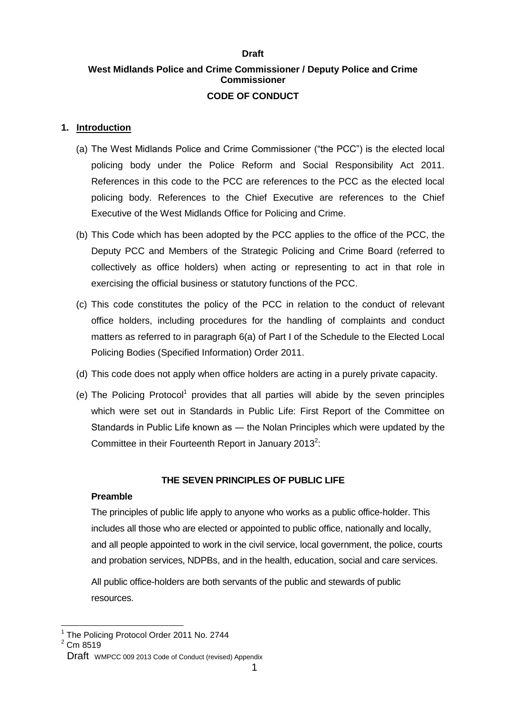#### **Draft**

# **West Midlands Police and Crime Commissioner / Deputy Police and Crime Commissioner CODE OF CONDUCT**

#### **1. Introduction**

- (a) The West Midlands Police and Crime Commissioner ("the PCC") is the elected local policing body under the Police Reform and Social Responsibility Act 2011. References in this code to the PCC are references to the PCC as the elected local policing body. References to the Chief Executive are references to the Chief Executive of the West Midlands Office for Policing and Crime.
- (b) This Code which has been adopted by the PCC applies to the office of the PCC, the Deputy PCC and Members of the Strategic Policing and Crime Board (referred to collectively as office holders) when acting or representing to act in that role in exercising the official business or statutory functions of the PCC.
- (c) This code constitutes the policy of the PCC in relation to the conduct of relevant office holders, including procedures for the handling of complaints and conduct matters as referred to in paragraph 6(a) of Part I of the Schedule to the Elected Local Policing Bodies (Specified Information) Order 2011.
- (d) This code does not apply when office holders are acting in a purely private capacity.
- (e) The Policing Protocol<sup>1</sup> provides that all parties will abide by the seven principles which were set out in Standards in Public Life: First Report of the Committee on Standards in Public Life known as ― the Nolan Principles which were updated by the Committee in their Fourteenth Report in January 2013<sup>2</sup>:

### **THE SEVEN PRINCIPLES OF PUBLIC LIFE**

#### **Preamble**

The principles of public life apply to anyone who works as a public office-holder. This includes all those who are elected or appointed to public office, nationally and locally, and all people appointed to work in the civil service, local government, the police, courts and probation services, NDPBs, and in the health, education, social and care services.

All public office-holders are both servants of the public and stewards of public resources.

1

<sup>&</sup>lt;sup>1</sup> The Policing Protocol Order 2011 No. 2744

 $2$  Cm 8519

Draft WMPCC 009 2013 Code of Conduct (revised) Appendix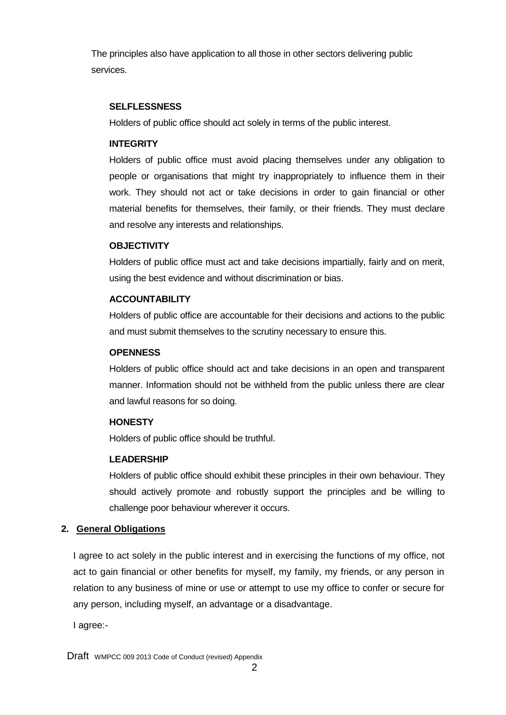The principles also have application to all those in other sectors delivering public services.

## **SELFLESSNESS**

Holders of public office should act solely in terms of the public interest.

## **INTEGRITY**

Holders of public office must avoid placing themselves under any obligation to people or organisations that might try inappropriately to influence them in their work. They should not act or take decisions in order to gain financial or other material benefits for themselves, their family, or their friends. They must declare and resolve any interests and relationships.

#### **OBJECTIVITY**

Holders of public office must act and take decisions impartially, fairly and on merit, using the best evidence and without discrimination or bias.

# **ACCOUNTABILITY**

Holders of public office are accountable for their decisions and actions to the public and must submit themselves to the scrutiny necessary to ensure this.

### **OPENNESS**

Holders of public office should act and take decisions in an open and transparent manner. Information should not be withheld from the public unless there are clear and lawful reasons for so doing.

# **HONESTY**

Holders of public office should be truthful.

#### **LEADERSHIP**

Holders of public office should exhibit these principles in their own behaviour. They should actively promote and robustly support the principles and be willing to challenge poor behaviour wherever it occurs.

# **2. General Obligations**

I agree to act solely in the public interest and in exercising the functions of my office, not act to gain financial or other benefits for myself, my family, my friends, or any person in relation to any business of mine or use or attempt to use my office to confer or secure for any person, including myself, an advantage or a disadvantage.

I agree:-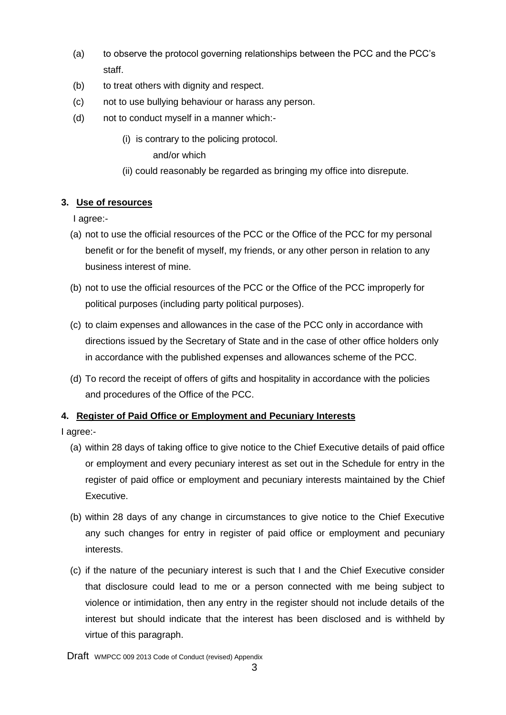- (a) to observe the protocol governing relationships between the PCC and the PCC's staff.
- (b) to treat others with dignity and respect.
- (c) not to use bullying behaviour or harass any person.
- (d) not to conduct myself in a manner which:-
	- (i) is contrary to the policing protocol.
		- and/or which
	- (ii) could reasonably be regarded as bringing my office into disrepute.

# **3. Use of resources**

I agree:-

- (a) not to use the official resources of the PCC or the Office of the PCC for my personal benefit or for the benefit of myself, my friends, or any other person in relation to any business interest of mine.
- (b) not to use the official resources of the PCC or the Office of the PCC improperly for political purposes (including party political purposes).
- (c) to claim expenses and allowances in the case of the PCC only in accordance with directions issued by the Secretary of State and in the case of other office holders only in accordance with the published expenses and allowances scheme of the PCC.
- (d) To record the receipt of offers of gifts and hospitality in accordance with the policies and procedures of the Office of the PCC.

# **4. Register of Paid Office or Employment and Pecuniary Interests**

I agree:-

- (a) within 28 days of taking office to give notice to the Chief Executive details of paid office or employment and every pecuniary interest as set out in the Schedule for entry in the register of paid office or employment and pecuniary interests maintained by the Chief Executive.
- (b) within 28 days of any change in circumstances to give notice to the Chief Executive any such changes for entry in register of paid office or employment and pecuniary interests.
- (c) if the nature of the pecuniary interest is such that I and the Chief Executive consider that disclosure could lead to me or a person connected with me being subject to violence or intimidation, then any entry in the register should not include details of the interest but should indicate that the interest has been disclosed and is withheld by virtue of this paragraph.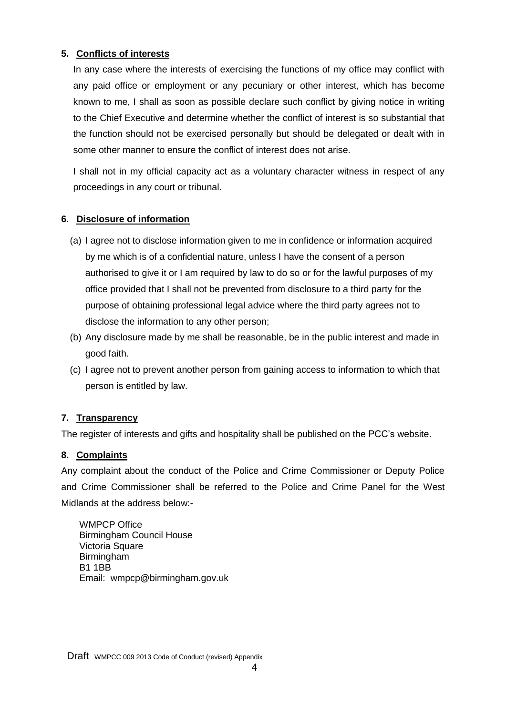# **5. Conflicts of interests**

In any case where the interests of exercising the functions of my office may conflict with any paid office or employment or any pecuniary or other interest, which has become known to me, I shall as soon as possible declare such conflict by giving notice in writing to the Chief Executive and determine whether the conflict of interest is so substantial that the function should not be exercised personally but should be delegated or dealt with in some other manner to ensure the conflict of interest does not arise.

I shall not in my official capacity act as a voluntary character witness in respect of any proceedings in any court or tribunal.

# **6. Disclosure of information**

- (a) I agree not to disclose information given to me in confidence or information acquired by me which is of a confidential nature, unless I have the consent of a person authorised to give it or I am required by law to do so or for the lawful purposes of my office provided that I shall not be prevented from disclosure to a third party for the purpose of obtaining professional legal advice where the third party agrees not to disclose the information to any other person;
- (b) Any disclosure made by me shall be reasonable, be in the public interest and made in good faith.
- (c) I agree not to prevent another person from gaining access to information to which that person is entitled by law.

# **7. Transparency**

The register of interests and gifts and hospitality shall be published on the PCC's website.

#### **8. Complaints**

Any complaint about the conduct of the Police and Crime Commissioner or Deputy Police and Crime Commissioner shall be referred to the Police and Crime Panel for the West Midlands at the address below:-

WMPCP Office Birmingham Council House Victoria Square Birmingham B1 1BB Email: wmpcp@birmingham.gov.uk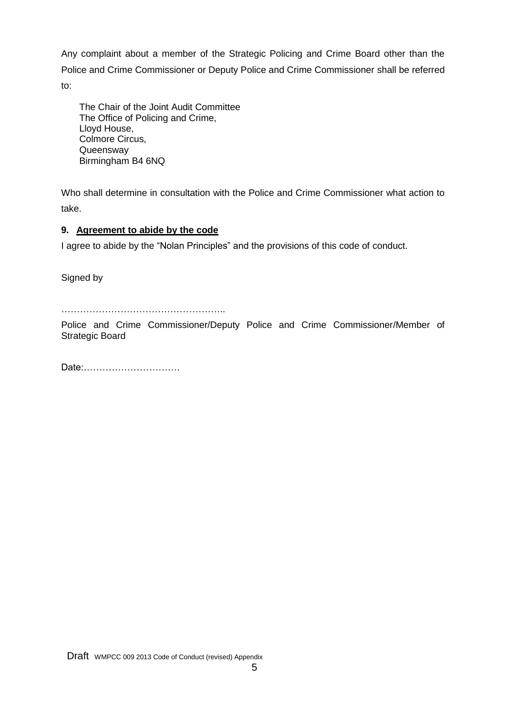Any complaint about a member of the Strategic Policing and Crime Board other than the Police and Crime Commissioner or Deputy Police and Crime Commissioner shall be referred to:

The Chair of the Joint Audit Committee The Office of Policing and Crime, Lloyd House, Colmore Circus, **Queensway** Birmingham B4 6NQ

Who shall determine in consultation with the Police and Crime Commissioner what action to take.

## **9. Agreement to abide by the code**

I agree to abide by the "Nolan Principles" and the provisions of this code of conduct.

Signed by

……………………………………………..

Police and Crime Commissioner/Deputy Police and Crime Commissioner/Member of Strategic Board

Date:………………………….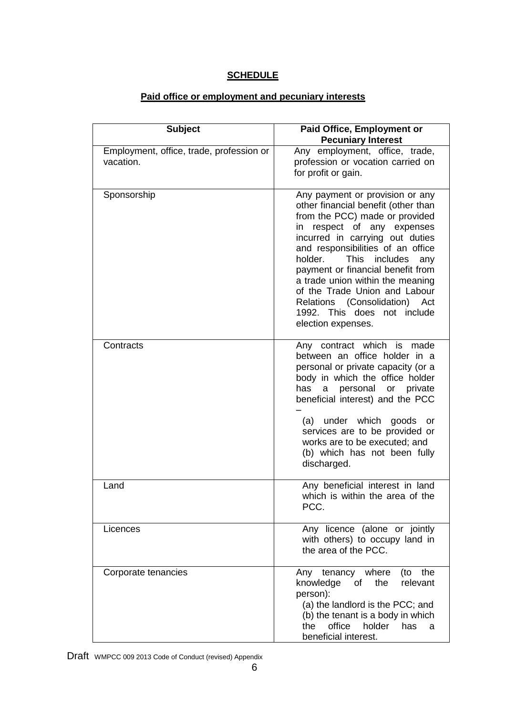# **SCHEDULE**

# **Paid office or employment and pecuniary interests**

| <b>Subject</b>                                        | <b>Paid Office, Employment or</b>                                                                                                                                                                                                                                                                                                                                                                                                                       |
|-------------------------------------------------------|---------------------------------------------------------------------------------------------------------------------------------------------------------------------------------------------------------------------------------------------------------------------------------------------------------------------------------------------------------------------------------------------------------------------------------------------------------|
| Employment, office, trade, profession or<br>vacation. | <b>Pecuniary Interest</b><br>Any employment, office, trade,<br>profession or vocation carried on                                                                                                                                                                                                                                                                                                                                                        |
|                                                       | for profit or gain.                                                                                                                                                                                                                                                                                                                                                                                                                                     |
| Sponsorship                                           | Any payment or provision or any<br>other financial benefit (other than<br>from the PCC) made or provided<br>respect of any expenses<br>in<br>incurred in carrying out duties<br>and responsibilities of an office<br>This<br>includes<br>holder.<br>any<br>payment or financial benefit from<br>a trade union within the meaning<br>of the Trade Union and Labour<br>Relations (Consolidation) Act<br>1992. This does not include<br>election expenses. |
| Contracts                                             | Any contract which is made<br>between an office holder in a<br>personal or private capacity (or a<br>body in which the office holder<br>has<br>personal<br>or<br>private<br>a<br>beneficial interest) and the PCC<br>(a) under which goods or<br>services are to be provided or<br>works are to be executed; and<br>(b) which has not been fully<br>discharged.                                                                                         |
| Land                                                  | Any beneficial interest in land<br>which is within the area of the<br>PCC.                                                                                                                                                                                                                                                                                                                                                                              |
| Licences                                              | Any licence (alone or jointly<br>with others) to occupy land in<br>the area of the PCC.                                                                                                                                                                                                                                                                                                                                                                 |
| Corporate tenancies                                   | (to the<br>Any tenancy where<br>knowledge<br>of<br>the<br>relevant<br>person):<br>(a) the landlord is the PCC; and<br>(b) the tenant is a body in which<br>the<br>office<br>holder<br>has<br>a<br>beneficial interest.                                                                                                                                                                                                                                  |

Draft WMPCC 009 2013 Code of Conduct (revised) Appendix